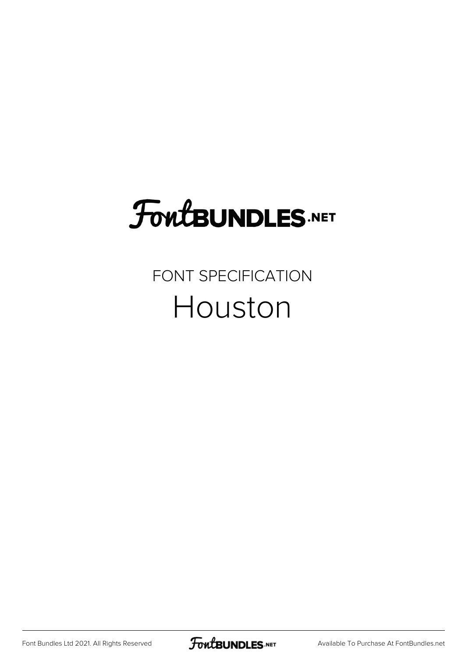# **FoutBUNDLES.NET**

### FONT SPECIFICATION Houston

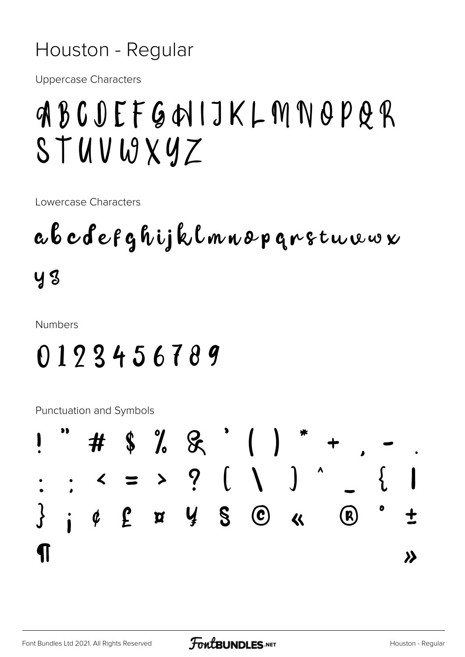#### Houston - Regular

**Uppercase Characters** 

## ABCDEFGHIJKLMNOPQR STUVWXYZ

Lowercase Characters

a b c d e f g h i j k l m n o p g r s t u w w x **y** 3

**Numbers** 

### 0123456789

**Punctuation and Symbols** 

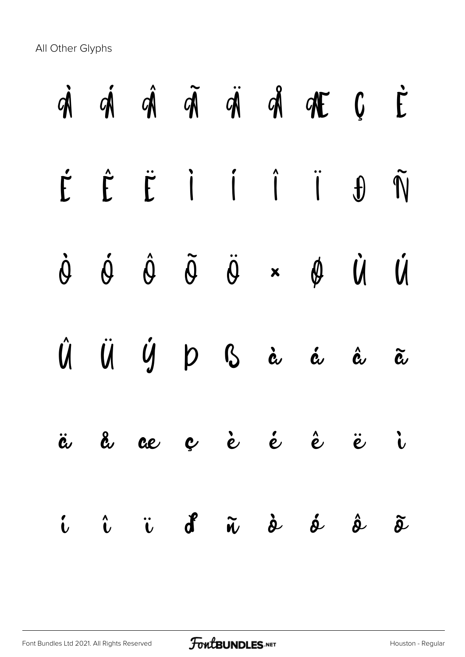All Other Glyphs

|  |  |  | $\dot{\mathfrak A} \quad \dot{\mathfrak A} \quad \dot{\mathfrak A} \quad \ddot{\mathfrak A} \quad \dot{\mathfrak A} \quad \dot{\mathfrak A} \quad \mathfrak A \quad \mathfrak C \quad \dot{\mathsf E}$ |  |
|--|--|--|--------------------------------------------------------------------------------------------------------------------------------------------------------------------------------------------------------|--|
|  |  |  | É Ê Ë İ İ Ï J Ñ                                                                                                                                                                                        |  |
|  |  |  | $\dot{\theta} \quad \dot{\theta} \quad \dot{\theta} \quad \ddot{\theta} \quad \ddot{\theta} \quad \dot{\theta} \quad \dot{\theta}$                                                                     |  |
|  |  |  | Û Ü Ý Þ B à á â ã                                                                                                                                                                                      |  |
|  |  |  | ä å ce ç è é è ë i                                                                                                                                                                                     |  |
|  |  |  | i î ï d <sup>e</sup> ñ d d d d                                                                                                                                                                         |  |